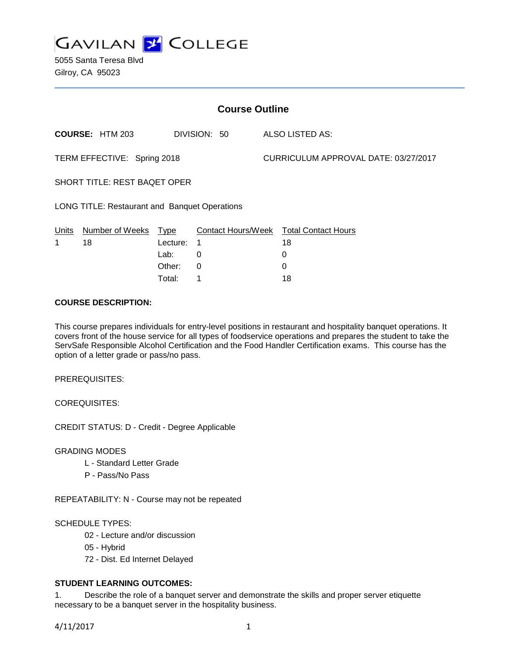

5055 Santa Teresa Blvd Gilroy, CA 95023

| <b>Course Outline</b>                                |                        |          |              |                                      |                                        |
|------------------------------------------------------|------------------------|----------|--------------|--------------------------------------|----------------------------------------|
|                                                      | <b>COURSE: HTM 203</b> |          | DIVISION: 50 |                                      | ALSO LISTED AS:                        |
| TERM EFFECTIVE: Spring 2018                          |                        |          |              | CURRICULUM APPROVAL DATE: 03/27/2017 |                                        |
| SHORT TITLE: REST BAQET OPER                         |                        |          |              |                                      |                                        |
| <b>LONG TITLE: Restaurant and Banquet Operations</b> |                        |          |              |                                      |                                        |
| Units                                                | Number of Weeks Type   |          |              |                                      | Contact Hours/Week Total Contact Hours |
| 1                                                    | 18                     | Lecture: | 1            |                                      | 18                                     |
|                                                      |                        | Lab:     | 0            |                                      | 0                                      |
|                                                      |                        | Other:   | 0            |                                      | 0                                      |
|                                                      |                        | Total:   |              |                                      | 18                                     |

### **COURSE DESCRIPTION:**

This course prepares individuals for entry-level positions in restaurant and hospitality banquet operations. It covers front of the house service for all types of foodservice operations and prepares the student to take the ServSafe Responsible Alcohol Certification and the Food Handler Certification exams. This course has the option of a letter grade or pass/no pass.

PREREQUISITES:

COREQUISITES:

CREDIT STATUS: D - Credit - Degree Applicable

GRADING MODES

- L Standard Letter Grade
- P Pass/No Pass

REPEATABILITY: N - Course may not be repeated

SCHEDULE TYPES:

- 02 Lecture and/or discussion
- 05 Hybrid
- 72 Dist. Ed Internet Delayed

# **STUDENT LEARNING OUTCOMES:**

1. Describe the role of a banquet server and demonstrate the skills and proper server etiquette necessary to be a banquet server in the hospitality business.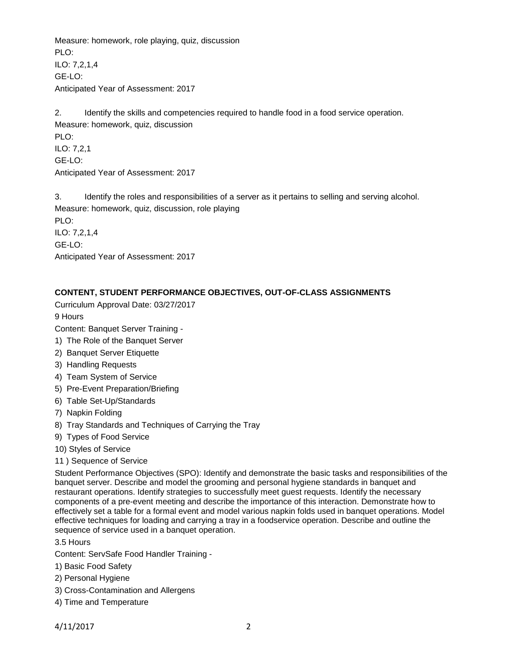Measure: homework, role playing, quiz, discussion PLO<sup>.</sup> ILO: 7,2,1,4 GE-LO: Anticipated Year of Assessment: 2017

2. Identify the skills and competencies required to handle food in a food service operation. Measure: homework, quiz, discussion PLO: ILO: 7,2,1 GE-LO: Anticipated Year of Assessment: 2017

3. Identify the roles and responsibilities of a server as it pertains to selling and serving alcohol. Measure: homework, quiz, discussion, role playing PLO: ILO: 7,2,1,4 GE-LO: Anticipated Year of Assessment: 2017

## **CONTENT, STUDENT PERFORMANCE OBJECTIVES, OUT-OF-CLASS ASSIGNMENTS**

Curriculum Approval Date: 03/27/2017

9 Hours

Content: Banquet Server Training -

- 1) The Role of the Banquet Server
- 2) Banquet Server Etiquette
- 3) Handling Requests
- 4) Team System of Service
- 5) Pre-Event Preparation/Briefing
- 6) Table Set-Up/Standards
- 7) Napkin Folding
- 8) Tray Standards and Techniques of Carrying the Tray
- 9) Types of Food Service
- 10) Styles of Service
- 11 ) Sequence of Service

Student Performance Objectives (SPO): Identify and demonstrate the basic tasks and responsibilities of the banquet server. Describe and model the grooming and personal hygiene standards in banquet and restaurant operations. Identify strategies to successfully meet guest requests. Identify the necessary components of a pre-event meeting and describe the importance of this interaction. Demonstrate how to effectively set a table for a formal event and model various napkin folds used in banquet operations. Model effective techniques for loading and carrying a tray in a foodservice operation. Describe and outline the sequence of service used in a banquet operation.

3.5 Hours

Content: ServSafe Food Handler Training -

- 1) Basic Food Safety
- 2) Personal Hygiene
- 3) Cross-Contamination and Allergens
- 4) Time and Temperature

4/11/2017 2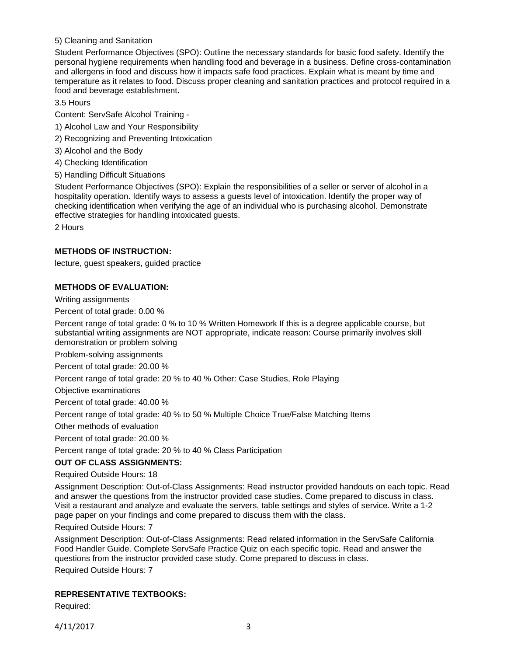## 5) Cleaning and Sanitation

Student Performance Objectives (SPO): Outline the necessary standards for basic food safety. Identify the personal hygiene requirements when handling food and beverage in a business. Define cross-contamination and allergens in food and discuss how it impacts safe food practices. Explain what is meant by time and temperature as it relates to food. Discuss proper cleaning and sanitation practices and protocol required in a food and beverage establishment.

3.5 Hours

Content: ServSafe Alcohol Training -

- 1) Alcohol Law and Your Responsibility
- 2) Recognizing and Preventing Intoxication
- 3) Alcohol and the Body
- 4) Checking Identification
- 5) Handling Difficult Situations

Student Performance Objectives (SPO): Explain the responsibilities of a seller or server of alcohol in a hospitality operation. Identify ways to assess a guests level of intoxication. Identify the proper way of checking identification when verifying the age of an individual who is purchasing alcohol. Demonstrate effective strategies for handling intoxicated guests.

2 Hours

### **METHODS OF INSTRUCTION:**

lecture, guest speakers, guided practice

### **METHODS OF EVALUATION:**

Writing assignments

Percent of total grade: 0.00 %

Percent range of total grade: 0 % to 10 % Written Homework If this is a degree applicable course, but substantial writing assignments are NOT appropriate, indicate reason: Course primarily involves skill demonstration or problem solving

Problem-solving assignments

Percent of total grade: 20.00 %

Percent range of total grade: 20 % to 40 % Other: Case Studies, Role Playing

Objective examinations

Percent of total grade: 40.00 %

Percent range of total grade: 40 % to 50 % Multiple Choice True/False Matching Items

Other methods of evaluation

Percent of total grade: 20.00 %

Percent range of total grade: 20 % to 40 % Class Participation

#### **OUT OF CLASS ASSIGNMENTS:**

Required Outside Hours: 18

Assignment Description: Out-of-Class Assignments: Read instructor provided handouts on each topic. Read and answer the questions from the instructor provided case studies. Come prepared to discuss in class. Visit a restaurant and analyze and evaluate the servers, table settings and styles of service. Write a 1-2 page paper on your findings and come prepared to discuss them with the class.

Required Outside Hours: 7

Assignment Description: Out-of-Class Assignments: Read related information in the ServSafe California Food Handler Guide. Complete ServSafe Practice Quiz on each specific topic. Read and answer the questions from the instructor provided case study. Come prepared to discuss in class.

Required Outside Hours: 7

## **REPRESENTATIVE TEXTBOOKS:**

Required: